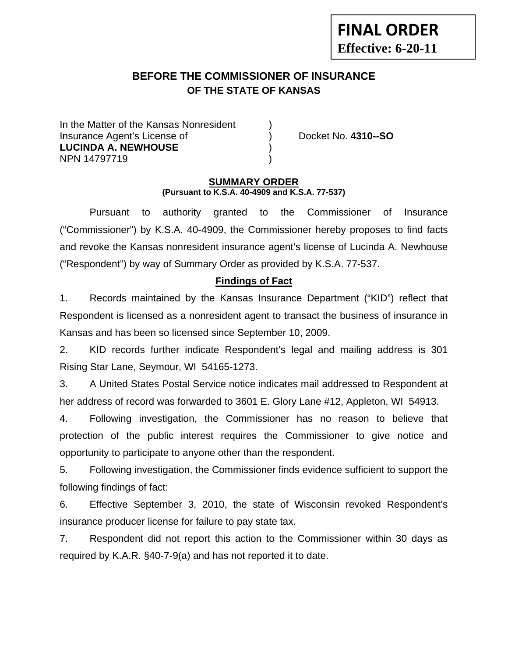# **BEFORE THE COMMISSIONER OF INSURANCE OF THE STATE OF KANSAS**

In the Matter of the Kansas Nonresident Insurance Agent's License of ) Docket No. **4310--SO LUCINDA A. NEWHOUSE** ) NPN 14797719 )

**FINAL ORDER**

**Effective: 6-20-11** 

#### **SUMMARY ORDER (Pursuant to K.S.A. 40-4909 and K.S.A. 77-537)**

 Pursuant to authority granted to the Commissioner of Insurance ("Commissioner") by K.S.A. 40-4909, the Commissioner hereby proposes to find facts and revoke the Kansas nonresident insurance agent's license of Lucinda A. Newhouse ("Respondent") by way of Summary Order as provided by K.S.A. 77-537.

# **Findings of Fact**

1. Records maintained by the Kansas Insurance Department ("KID") reflect that Respondent is licensed as a nonresident agent to transact the business of insurance in Kansas and has been so licensed since September 10, 2009.

2. KID records further indicate Respondent's legal and mailing address is 301 Rising Star Lane, Seymour, WI 54165-1273.

3. A United States Postal Service notice indicates mail addressed to Respondent at her address of record was forwarded to 3601 E. Glory Lane #12, Appleton, WI 54913.

4. Following investigation, the Commissioner has no reason to believe that protection of the public interest requires the Commissioner to give notice and opportunity to participate to anyone other than the respondent.

5. Following investigation, the Commissioner finds evidence sufficient to support the following findings of fact:

6. Effective September 3, 2010, the state of Wisconsin revoked Respondent's insurance producer license for failure to pay state tax.

7. Respondent did not report this action to the Commissioner within 30 days as required by K.A.R. §40-7-9(a) and has not reported it to date.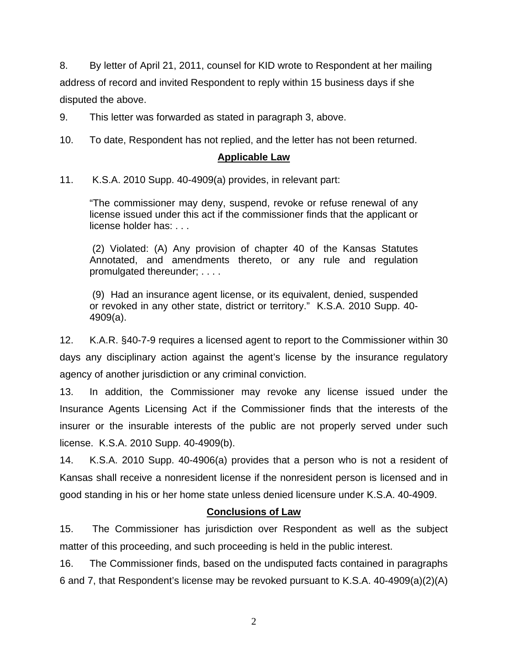8. By letter of April 21, 2011, counsel for KID wrote to Respondent at her mailing address of record and invited Respondent to reply within 15 business days if she disputed the above.

9. This letter was forwarded as stated in paragraph 3, above.

10. To date, Respondent has not replied, and the letter has not been returned.

# **Applicable Law**

11. K.S.A. 2010 Supp. 40-4909(a) provides, in relevant part:

"The commissioner may deny, suspend, revoke or refuse renewal of any license issued under this act if the commissioner finds that the applicant or license holder has: . . .

 (2) Violated: (A) Any provision of chapter 40 of the Kansas Statutes Annotated, and amendments thereto, or any rule and regulation promulgated thereunder; . . . .

 (9) Had an insurance agent license, or its equivalent, denied, suspended or revoked in any other state, district or territory." K.S.A. 2010 Supp. 40- 4909(a).

12. K.A.R. §40-7-9 requires a licensed agent to report to the Commissioner within 30 days any disciplinary action against the agent's license by the insurance regulatory agency of another jurisdiction or any criminal conviction.

13. In addition, the Commissioner may revoke any license issued under the Insurance Agents Licensing Act if the Commissioner finds that the interests of the insurer or the insurable interests of the public are not properly served under such license. K.S.A. 2010 Supp. 40-4909(b).

14. K.S.A. 2010 Supp. 40-4906(a) provides that a person who is not a resident of Kansas shall receive a nonresident license if the nonresident person is licensed and in good standing in his or her home state unless denied licensure under K.S.A. 40-4909.

#### **Conclusions of Law**

15. The Commissioner has jurisdiction over Respondent as well as the subject matter of this proceeding, and such proceeding is held in the public interest.

16. The Commissioner finds, based on the undisputed facts contained in paragraphs 6 and 7, that Respondent's license may be revoked pursuant to K.S.A. 40-4909(a)(2)(A)

2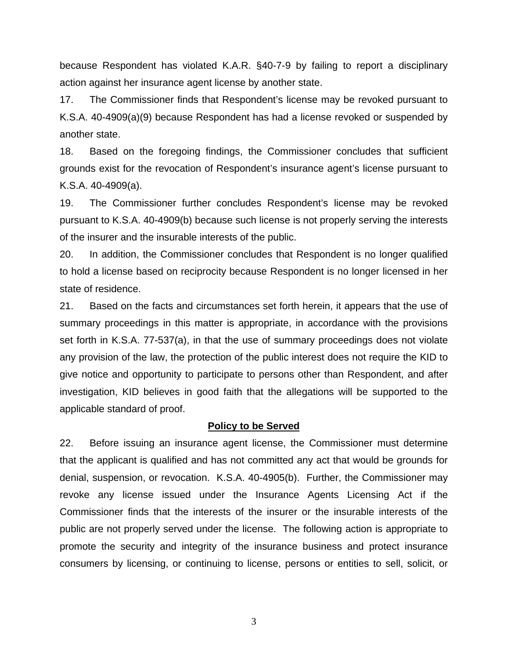because Respondent has violated K.A.R. §40-7-9 by failing to report a disciplinary action against her insurance agent license by another state.

17. The Commissioner finds that Respondent's license may be revoked pursuant to K.S.A. 40-4909(a)(9) because Respondent has had a license revoked or suspended by another state.

18. Based on the foregoing findings, the Commissioner concludes that sufficient grounds exist for the revocation of Respondent's insurance agent's license pursuant to K.S.A. 40-4909(a).

19. The Commissioner further concludes Respondent's license may be revoked pursuant to K.S.A. 40-4909(b) because such license is not properly serving the interests of the insurer and the insurable interests of the public.

20. In addition, the Commissioner concludes that Respondent is no longer qualified to hold a license based on reciprocity because Respondent is no longer licensed in her state of residence.

21. Based on the facts and circumstances set forth herein, it appears that the use of summary proceedings in this matter is appropriate, in accordance with the provisions set forth in K.S.A. 77-537(a), in that the use of summary proceedings does not violate any provision of the law, the protection of the public interest does not require the KID to give notice and opportunity to participate to persons other than Respondent, and after investigation, KID believes in good faith that the allegations will be supported to the applicable standard of proof.

#### **Policy to be Served**

22. Before issuing an insurance agent license, the Commissioner must determine that the applicant is qualified and has not committed any act that would be grounds for denial, suspension, or revocation. K.S.A. 40-4905(b). Further, the Commissioner may revoke any license issued under the Insurance Agents Licensing Act if the Commissioner finds that the interests of the insurer or the insurable interests of the public are not properly served under the license. The following action is appropriate to promote the security and integrity of the insurance business and protect insurance consumers by licensing, or continuing to license, persons or entities to sell, solicit, or

3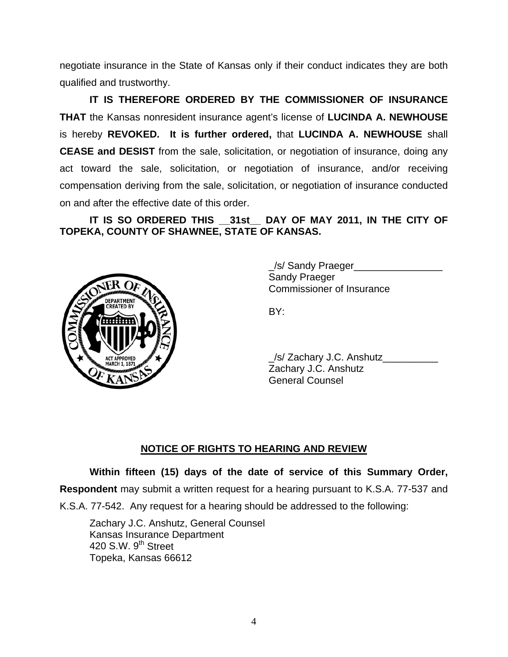negotiate insurance in the State of Kansas only if their conduct indicates they are both qualified and trustworthy.

 **IT IS THEREFORE ORDERED BY THE COMMISSIONER OF INSURANCE THAT** the Kansas nonresident insurance agent's license of **LUCINDA A. NEWHOUSE**  is hereby **REVOKED. It is further ordered,** that **LUCINDA A. NEWHOUSE** shall **CEASE and DESIST** from the sale, solicitation, or negotiation of insurance, doing any act toward the sale, solicitation, or negotiation of insurance, and/or receiving compensation deriving from the sale, solicitation, or negotiation of insurance conducted on and after the effective date of this order.

 **IT IS SO ORDERED THIS \_\_31st\_\_ DAY OF MAY 2011, IN THE CITY OF TOPEKA, COUNTY OF SHAWNEE, STATE OF KANSAS.** 



/s/ Sandy Praeger Sandy Praeger Commissioner of Insurance

/s/ Zachary J.C. Anshutz Zachary J.C. Anshutz General Counsel

# **NOTICE OF RIGHTS TO HEARING AND REVIEW**

**Within fifteen (15) days of the date of service of this Summary Order,** 

**Respondent** may submit a written request for a hearing pursuant to K.S.A. 77-537 and

K.S.A. 77-542. Any request for a hearing should be addressed to the following:

 Zachary J.C. Anshutz, General Counsel Kansas Insurance Department 420 S.W. 9<sup>th</sup> Street Topeka, Kansas 66612